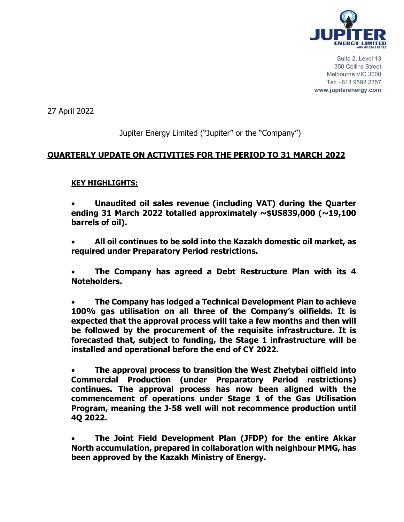

27 April 2022

# Jupiter Energy Limited ("Jupiter" or the "Company")

## **QUARTERLY UPDATE ON ACTIVITIES FOR THE PERIOD TO 31 MARCH 2022**

## **KEY HIGHLIGHTS:**

• **Unaudited oil sales revenue (including VAT) during the Quarter ending 31 March 2022 totalled approximately ~\$US839,000 (~19,100 barrels of oil).** 

• **All oil continues to be sold into the Kazakh domestic oil market, as required under Preparatory Period restrictions.** 

• **The Company has agreed a Debt Restructure Plan with its 4 Noteholders.** 

• **The Company has lodged a Technical Development Plan to achieve 100% gas utilisation on all three of the Company's oilfields. It is expected that the approval process will take a few months and then will be followed by the procurement of the requisite infrastructure. It is forecasted that, subject to funding, the Stage 1 infrastructure will be installed and operational before the end of CY 2022.** 

• **The approval process to transition the West Zhetybai oilfield into Commercial Production (under Preparatory Period restrictions) continues. The approval process has now been aligned with the commencement of operations under Stage 1 of the Gas Utilisation Program, meaning the J-58 well will not recommence production until 4Q 2022.** 

• **The Joint Field Development Plan (JFDP) for the entire Akkar North accumulation, prepared in collaboration with neighbour MMG, has been approved by the Kazakh Ministry of Energy.**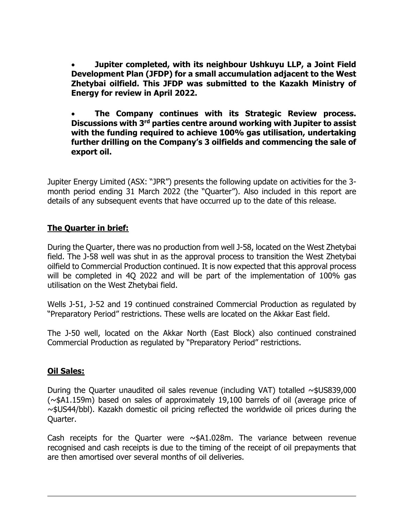• **Jupiter completed, with its neighbour Ushkuyu LLP, a Joint Field Development Plan (JFDP) for a small accumulation adjacent to the West Zhetybai oilfield. This JFDP was submitted to the Kazakh Ministry of Energy for review in April 2022.** 

• **The Company continues with its Strategic Review process. Discussions with 3rd parties centre around working with Jupiter to assist with the funding required to achieve 100% gas utilisation, undertaking further drilling on the Company's 3 oilfields and commencing the sale of export oil.** 

Jupiter Energy Limited (ASX: "JPR") presents the following update on activities for the 3 month period ending 31 March 2022 (the "Quarter"). Also included in this report are details of any subsequent events that have occurred up to the date of this release.

### **The Quarter in brief:**

During the Quarter, there was no production from well J-58, located on the West Zhetybai field. The J-58 well was shut in as the approval process to transition the West Zhetybai oilfield to Commercial Production continued. It is now expected that this approval process will be completed in 4Q 2022 and will be part of the implementation of 100% gas utilisation on the West Zhetybai field.

Wells J-51, J-52 and 19 continued constrained Commercial Production as regulated by "Preparatory Period" restrictions. These wells are located on the Akkar East field.

The J-50 well, located on the Akkar North (East Block) also continued constrained Commercial Production as regulated by "Preparatory Period" restrictions.

#### **Oil Sales:**

During the Quarter unaudited oil sales revenue (including VAT) totalled  $\sim$ \$US839,000 (~\$A1.159m) based on sales of approximately 19,100 barrels of oil (average price of ~\$US44/bbl). Kazakh domestic oil pricing reflected the worldwide oil prices during the Quarter.

Cash receipts for the Quarter were  $\sim$ \$A1.028m. The variance between revenue recognised and cash receipts is due to the timing of the receipt of oil prepayments that are then amortised over several months of oil deliveries.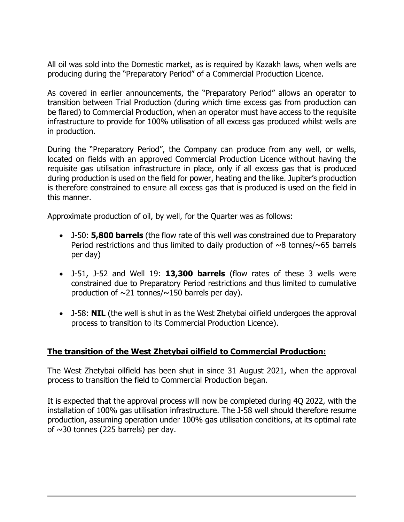All oil was sold into the Domestic market, as is required by Kazakh laws, when wells are producing during the "Preparatory Period" of a Commercial Production Licence.

As covered in earlier announcements, the "Preparatory Period" allows an operator to transition between Trial Production (during which time excess gas from production can be flared) to Commercial Production, when an operator must have access to the requisite infrastructure to provide for 100% utilisation of all excess gas produced whilst wells are in production.

During the "Preparatory Period", the Company can produce from any well, or wells, located on fields with an approved Commercial Production Licence without having the requisite gas utilisation infrastructure in place, only if all excess gas that is produced during production is used on the field for power, heating and the like. Jupiter's production is therefore constrained to ensure all excess gas that is produced is used on the field in this manner.

Approximate production of oil, by well, for the Quarter was as follows:

- J-50: **5,800 barrels** (the flow rate of this well was constrained due to Preparatory Period restrictions and thus limited to daily production of  $\sim$ 8 tonnes/ $\sim$ 65 barrels per day)
- J-51, J-52 and Well 19: **13,300 barrels** (flow rates of these 3 wells were constrained due to Preparatory Period restrictions and thus limited to cumulative production of  $\sim$ 21 tonnes/ $\sim$ 150 barrels per day).
- J-58: **NIL** (the well is shut in as the West Zhetybai oilfield undergoes the approval process to transition to its Commercial Production Licence).

#### **The transition of the West Zhetybai oilfield to Commercial Production:**

The West Zhetybai oilfield has been shut in since 31 August 2021, when the approval process to transition the field to Commercial Production began.

It is expected that the approval process will now be completed during 4Q 2022, with the installation of 100% gas utilisation infrastructure. The J-58 well should therefore resume production, assuming operation under 100% gas utilisation conditions, at its optimal rate of  $\sim$ 30 tonnes (225 barrels) per day.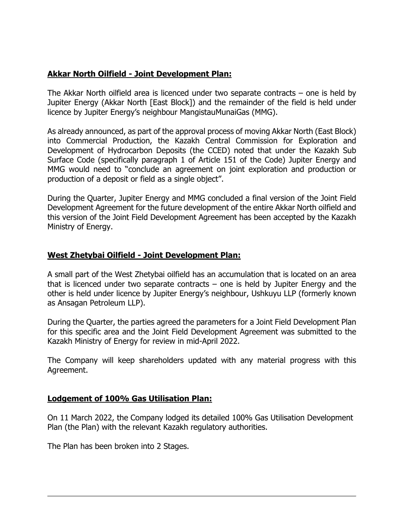### **Akkar North Oilfield - Joint Development Plan:**

The Akkar North oilfield area is licenced under two separate contracts – one is held by Jupiter Energy (Akkar North [East Block]) and the remainder of the field is held under licence by Jupiter Energy's neighbour MangistauMunaiGas (MMG).

As already announced, as part of the approval process of moving Akkar North (East Block) into Commercial Production, the Kazakh Central Commission for Exploration and Development of Hydrocarbon Deposits (the CCED) noted that under the Kazakh Sub Surface Code (specifically paragraph 1 of Article 151 of the Code) Jupiter Energy and MMG would need to "conclude an agreement on joint exploration and production or production of a deposit or field as a single object".

During the Quarter, Jupiter Energy and MMG concluded a final version of the Joint Field Development Agreement for the future development of the entire Akkar North oilfield and this version of the Joint Field Development Agreement has been accepted by the Kazakh Ministry of Energy.

#### **West Zhetybai Oilfield - Joint Development Plan:**

A small part of the West Zhetybai oilfield has an accumulation that is located on an area that is licenced under two separate contracts – one is held by Jupiter Energy and the other is held under licence by Jupiter Energy's neighbour, Ushkuyu LLP (formerly known as Ansagan Petroleum LLP).

During the Quarter, the parties agreed the parameters for a Joint Field Development Plan for this specific area and the Joint Field Development Agreement was submitted to the Kazakh Ministry of Energy for review in mid-April 2022.

The Company will keep shareholders updated with any material progress with this Agreement.

#### **Lodgement of 100% Gas Utilisation Plan:**

On 11 March 2022, the Company lodged its detailed 100% Gas Utilisation Development Plan (the Plan) with the relevant Kazakh regulatory authorities.

The Plan has been broken into 2 Stages.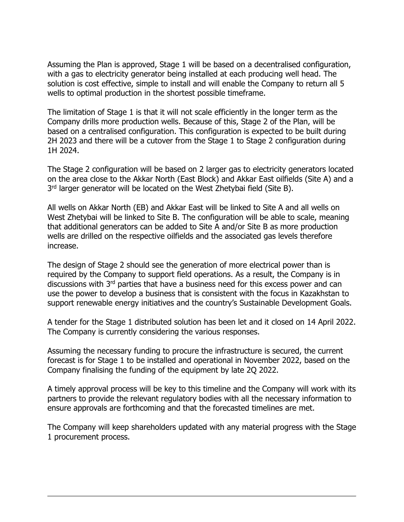Assuming the Plan is approved, Stage 1 will be based on a decentralised configuration, with a gas to electricity generator being installed at each producing well head. The solution is cost effective, simple to install and will enable the Company to return all 5 wells to optimal production in the shortest possible timeframe.

The limitation of Stage 1 is that it will not scale efficiently in the longer term as the Company drills more production wells. Because of this, Stage 2 of the Plan, will be based on a centralised configuration. This configuration is expected to be built during 2H 2023 and there will be a cutover from the Stage 1 to Stage 2 configuration during 1H 2024.

The Stage 2 configuration will be based on 2 larger gas to electricity generators located on the area close to the Akkar North (East Block) and Akkar East oilfields (Site A) and a 3<sup>rd</sup> larger generator will be located on the West Zhetybai field (Site B).

All wells on Akkar North (EB) and Akkar East will be linked to Site A and all wells on West Zhetybai will be linked to Site B. The configuration will be able to scale, meaning that additional generators can be added to Site A and/or Site B as more production wells are drilled on the respective oilfields and the associated gas levels therefore increase.

The design of Stage 2 should see the generation of more electrical power than is required by the Company to support field operations. As a result, the Company is in discussions with 3<sup>rd</sup> parties that have a business need for this excess power and can use the power to develop a business that is consistent with the focus in Kazakhstan to support renewable energy initiatives and the country's Sustainable Development Goals.

A tender for the Stage 1 distributed solution has been let and it closed on 14 April 2022. The Company is currently considering the various responses.

Assuming the necessary funding to procure the infrastructure is secured, the current forecast is for Stage 1 to be installed and operational in November 2022, based on the Company finalising the funding of the equipment by late 2Q 2022.

A timely approval process will be key to this timeline and the Company will work with its partners to provide the relevant regulatory bodies with all the necessary information to ensure approvals are forthcoming and that the forecasted timelines are met.

The Company will keep shareholders updated with any material progress with the Stage 1 procurement process.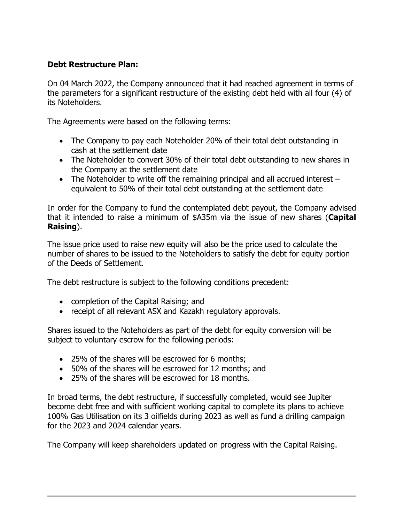## **Debt Restructure Plan:**

On 04 March 2022, the Company announced that it had reached agreement in terms of the parameters for a significant restructure of the existing debt held with all four (4) of its Noteholders.

The Agreements were based on the following terms:

- The Company to pay each Noteholder 20% of their total debt outstanding in cash at the settlement date
- The Noteholder to convert 30% of their total debt outstanding to new shares in the Company at the settlement date
- The Noteholder to write off the remaining principal and all accrued interest equivalent to 50% of their total debt outstanding at the settlement date

In order for the Company to fund the contemplated debt payout, the Company advised that it intended to raise a minimum of \$A35m via the issue of new shares (**Capital Raising**).

The issue price used to raise new equity will also be the price used to calculate the number of shares to be issued to the Noteholders to satisfy the debt for equity portion of the Deeds of Settlement.

The debt restructure is subject to the following conditions precedent:

- completion of the Capital Raising; and
- receipt of all relevant ASX and Kazakh regulatory approvals.

Shares issued to the Noteholders as part of the debt for equity conversion will be subject to voluntary escrow for the following periods:

- 25% of the shares will be escrowed for 6 months;
- 50% of the shares will be escrowed for 12 months; and
- 25% of the shares will be escrowed for 18 months.

In broad terms, the debt restructure, if successfully completed, would see Jupiter become debt free and with sufficient working capital to complete its plans to achieve 100% Gas Utilisation on its 3 oilfields during 2023 as well as fund a drilling campaign for the 2023 and 2024 calendar years.

The Company will keep shareholders updated on progress with the Capital Raising.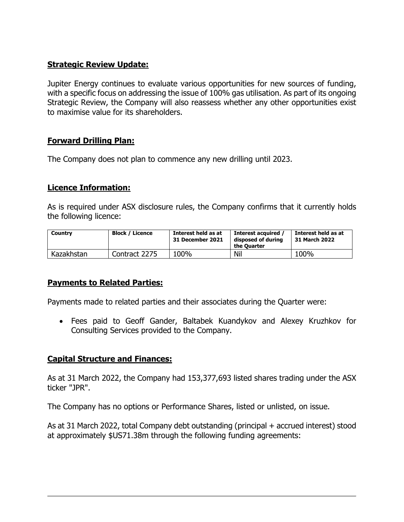## **Strategic Review Update:**

Jupiter Energy continues to evaluate various opportunities for new sources of funding, with a specific focus on addressing the issue of 100% gas utilisation. As part of its ongoing Strategic Review, the Company will also reassess whether any other opportunities exist to maximise value for its shareholders.

## **Forward Drilling Plan:**

The Company does not plan to commence any new drilling until 2023.

### **Licence Information:**

As is required under ASX disclosure rules, the Company confirms that it currently holds the following licence:

| Country    | <b>Block / Licence</b> | Interest held as at<br>31 December 2021 | Interest acquired<br>disposed of during<br>the Ouarter | Interest held as at<br>31 March 2022 |
|------------|------------------------|-----------------------------------------|--------------------------------------------------------|--------------------------------------|
| Kazakhstan | Contract 2275          | 100%                                    | Nil                                                    | 100%                                 |

## **Payments to Related Parties:**

Payments made to related parties and their associates during the Quarter were:

• Fees paid to Geoff Gander, Baltabek Kuandykov and Alexey Kruzhkov for Consulting Services provided to the Company.

#### **Capital Structure and Finances:**

As at 31 March 2022, the Company had 153,377,693 listed shares trading under the ASX ticker "JPR".

The Company has no options or Performance Shares, listed or unlisted, on issue.

As at 31 March 2022, total Company debt outstanding (principal + accrued interest) stood at approximately \$US71.38m through the following funding agreements: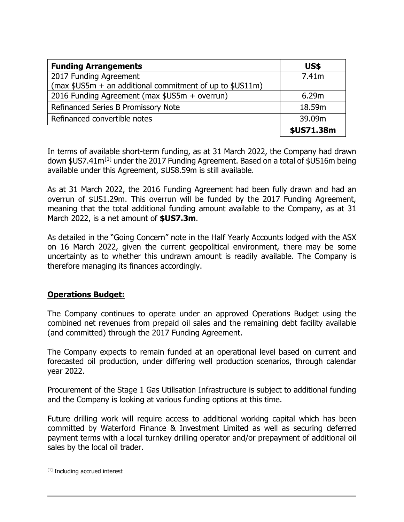| <b>Funding Arrangements</b>                              | <b>US\$</b> |
|----------------------------------------------------------|-------------|
| 2017 Funding Agreement                                   | 7.41m       |
| (max \$US5m + an additional commitment of up to \$US11m) |             |
| 2016 Funding Agreement (max \$US5m + overrun)            | 6.29m       |
| Refinanced Series B Promissory Note                      | 18.59m      |
| Refinanced convertible notes                             | 39.09m      |
|                                                          | \$US71.38m  |

In terms of available short-term funding, as at 31 March 2022, the Company had drawn down \$US7.41m<sup>[\[1\]](#page-7-0)</sup> under the 2017 Funding Agreement. Based on a total of \$US16m being available under this Agreement, \$US8.59m is still available.

As at 31 March 2022, the 2016 Funding Agreement had been fully drawn and had an overrun of \$US1.29m. This overrun will be funded by the 2017 Funding Agreement, meaning that the total additional funding amount available to the Company, as at 31 March 2022, is a net amount of **\$US7.3m**.

As detailed in the "Going Concern" note in the Half Yearly Accounts lodged with the ASX on 16 March 2022, given the current geopolitical environment, there may be some uncertainty as to whether this undrawn amount is readily available. The Company is therefore managing its finances accordingly.

## **Operations Budget:**

The Company continues to operate under an approved Operations Budget using the combined net revenues from prepaid oil sales and the remaining debt facility available (and committed) through the 2017 Funding Agreement.

The Company expects to remain funded at an operational level based on current and forecasted oil production, under differing well production scenarios, through calendar year 2022.

Procurement of the Stage 1 Gas Utilisation Infrastructure is subject to additional funding and the Company is looking at various funding options at this time.

Future drilling work will require access to additional working capital which has been committed by Waterford Finance & Investment Limited as well as securing deferred payment terms with a local turnkey drilling operator and/or prepayment of additional oil sales by the local oil trader.

<span id="page-7-0"></span><sup>[1]</sup> Including accrued interest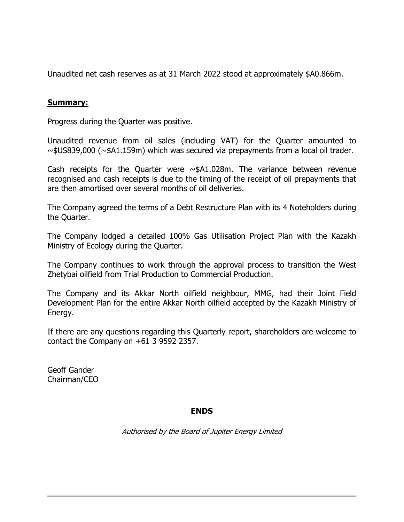Unaudited net cash reserves as at 31 March 2022 stood at approximately \$A0.866m.

#### **Summary:**

Progress during the Quarter was positive.

Unaudited revenue from oil sales (including VAT) for the Quarter amounted to  $\sim$ \$US839,000 ( $\sim$ \$A1.159m) which was secured via prepayments from a local oil trader.

Cash receipts for the Quarter were  $\sim$ \$A1.028m. The variance between revenue recognised and cash receipts is due to the timing of the receipt of oil prepayments that are then amortised over several months of oil deliveries.

The Company agreed the terms of a Debt Restructure Plan with its 4 Noteholders during the Quarter.

The Company lodged a detailed 100% Gas Utilisation Project Plan with the Kazakh Ministry of Ecology during the Quarter.

The Company continues to work through the approval process to transition the West Zhetybai oilfield from Trial Production to Commercial Production.

The Company and its Akkar North oilfield neighbour, MMG, had their Joint Field Development Plan for the entire Akkar North oilfield accepted by the Kazakh Ministry of Energy.

If there are any questions regarding this Quarterly report, shareholders are welcome to contact the Company on +61 3 9592 2357.

Geoff Gander Chairman/CEO

#### **ENDS**

Authorised by the Board of Jupiter Energy Limited